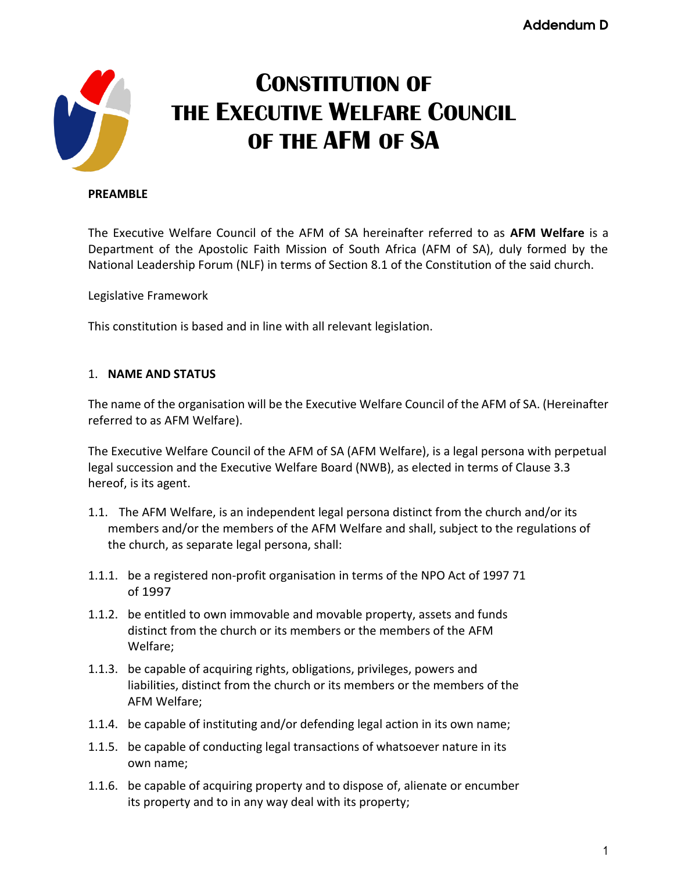

# **CONSTITUTION OF THE EXECUTIVE WELFARE COUNCIL OF THE AFM OF SA**

#### **PREAMBLE**

The Executive Welfare Council of the AFM of SA hereinafter referred to as **AFM Welfare** is a Department of the Apostolic Faith Mission of South Africa (AFM of SA), duly formed by the National Leadership Forum (NLF) in terms of Section 8.1 of the Constitution of the said church.

Legislative Framework

This constitution is based and in line with all relevant legislation.

## 1. **NAME AND STATUS**

The name of the organisation will be the Executive Welfare Council of the AFM of SA. (Hereinafter referred to as AFM Welfare).

The Executive Welfare Council of the AFM of SA (AFM Welfare), is a legal persona with perpetual legal succession and the Executive Welfare Board (NWB), as elected in terms of Clause 3.3 hereof, is its agent.

- 1.1. The AFM Welfare, is an independent legal persona distinct from the church and/or its members and/or the members of the AFM Welfare and shall, subject to the regulations of the church, as separate legal persona, shall:
- 1.1.1. be a registered non-profit organisation in terms of the NPO Act of 1997 71 of 1997
- 1.1.2. be entitled to own immovable and movable property, assets and funds distinct from the church or its members or the members of the AFM Welfare;
- 1.1.3. be capable of acquiring rights, obligations, privileges, powers and liabilities, distinct from the church or its members or the members of the AFM Welfare;
- 1.1.4. be capable of instituting and/or defending legal action in its own name;
- 1.1.5. be capable of conducting legal transactions of whatsoever nature in its own name;
- 1.1.6. be capable of acquiring property and to dispose of, alienate or encumber its property and to in any way deal with its property;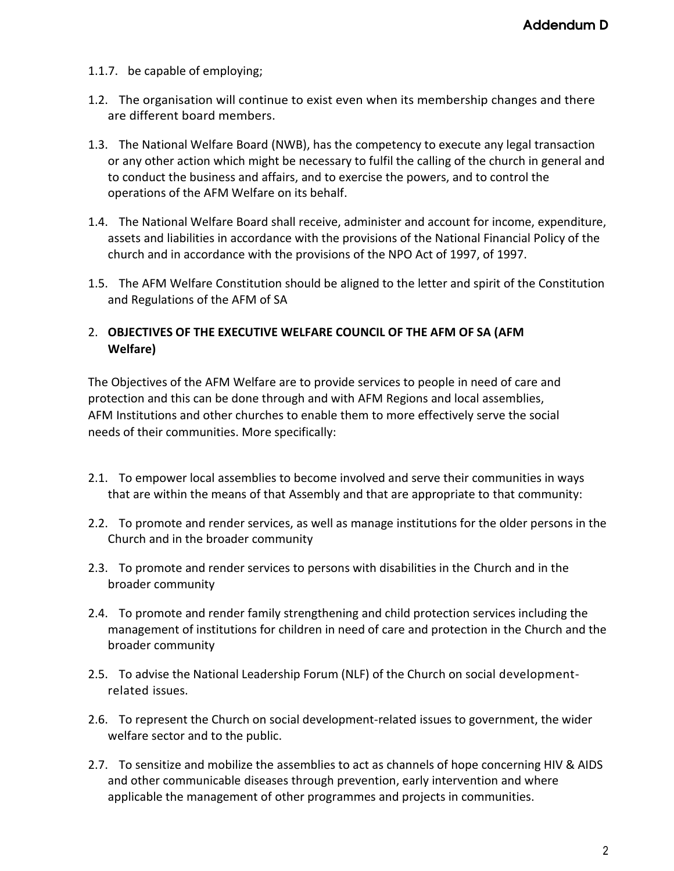- 1.1.7. be capable of employing;
- 1.2. The organisation will continue to exist even when its membership changes and there are different board members.
- 1.3. The National Welfare Board (NWB), has the competency to execute any legal transaction or any other action which might be necessary to fulfil the calling of the church in general and to conduct the business and affairs, and to exercise the powers, and to control the operations of the AFM Welfare on its behalf.
- 1.4. The National Welfare Board shall receive, administer and account for income, expenditure, assets and liabilities in accordance with the provisions of the National Financial Policy of the church and in accordance with the provisions of the NPO Act of 1997, of 1997.
- 1.5. The AFM Welfare Constitution should be aligned to the letter and spirit of the Constitution and Regulations of the AFM of SA

# 2. **OBJECTIVES OF THE EXECUTIVE WELFARE COUNCIL OF THE AFM OF SA (AFM Welfare)**

The Objectives of the AFM Welfare are to provide services to people in need of care and protection and this can be done through and with AFM Regions and local assemblies, AFM Institutions and other churches to enable them to more effectively serve the social needs of their communities. More specifically:

- 2.1. To empower local assemblies to become involved and serve their communities in ways that are within the means of that Assembly and that are appropriate to that community:
- 2.2. To promote and render services, as well as manage institutions for the older persons in the Church and in the broader community
- 2.3. To promote and render services to persons with disabilities in the Church and in the broader community
- 2.4. To promote and render family strengthening and child protection services including the management of institutions for children in need of care and protection in the Church and the broader community
- 2.5. To advise the National Leadership Forum (NLF) of the Church on social developmentrelated issues.
- 2.6. To represent the Church on social development-related issues to government, the wider welfare sector and to the public.
- 2.7. To sensitize and mobilize the assemblies to act as channels of hope concerning HIV & AIDS and other communicable diseases through prevention, early intervention and where applicable the management of other programmes and projects in communities.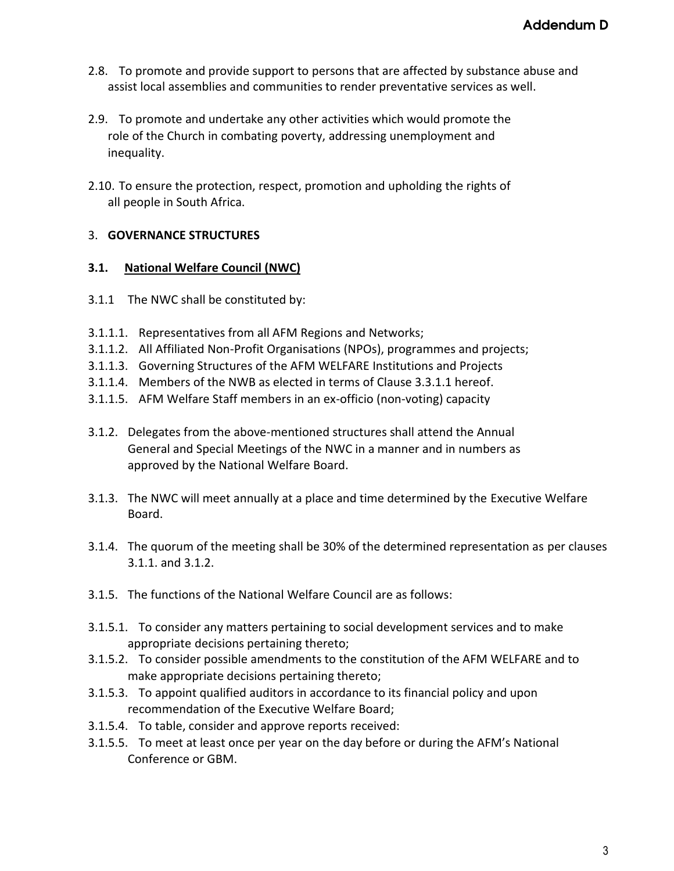- 2.8. To promote and provide support to persons that are affected by substance abuse and assist local assemblies and communities to render preventative services as well.
- 2.9. To promote and undertake any other activities which would promote the role of the Church in combating poverty, addressing unemployment and inequality.
- 2.10. To ensure the protection, respect, promotion and upholding the rights of all people in South Africa.

# 3. **GOVERNANCE STRUCTURES**

## **3.1. National Welfare Council (NWC)**

- 3.1.1 The NWC shall be constituted by:
- 3.1.1.1. Representatives from all AFM Regions and Networks;
- 3.1.1.2. All Affiliated Non-Profit Organisations (NPOs), programmes and projects;
- 3.1.1.3. Governing Structures of the AFM WELFARE Institutions and Projects
- 3.1.1.4. Members of the NWB as elected in terms of Clause 3.3.1.1 hereof.
- 3.1.1.5. AFM Welfare Staff members in an ex-officio (non-voting) capacity
- 3.1.2. Delegates from the above-mentioned structures shall attend the Annual General and Special Meetings of the NWC in a manner and in numbers as approved by the National Welfare Board.
- 3.1.3. The NWC will meet annually at a place and time determined by the Executive Welfare Board.
- 3.1.4. The quorum of the meeting shall be 30% of the determined representation as per clauses 3.1.1. and 3.1.2.
- 3.1.5. The functions of the National Welfare Council are as follows:
- 3.1.5.1. To consider any matters pertaining to social development services and to make appropriate decisions pertaining thereto;
- 3.1.5.2. To consider possible amendments to the constitution of the AFM WELFARE and to make appropriate decisions pertaining thereto;
- 3.1.5.3. To appoint qualified auditors in accordance to its financial policy and upon recommendation of the Executive Welfare Board;
- 3.1.5.4. To table, consider and approve reports received:
- 3.1.5.5. To meet at least once per year on the day before or during the AFM's National Conference or GBM.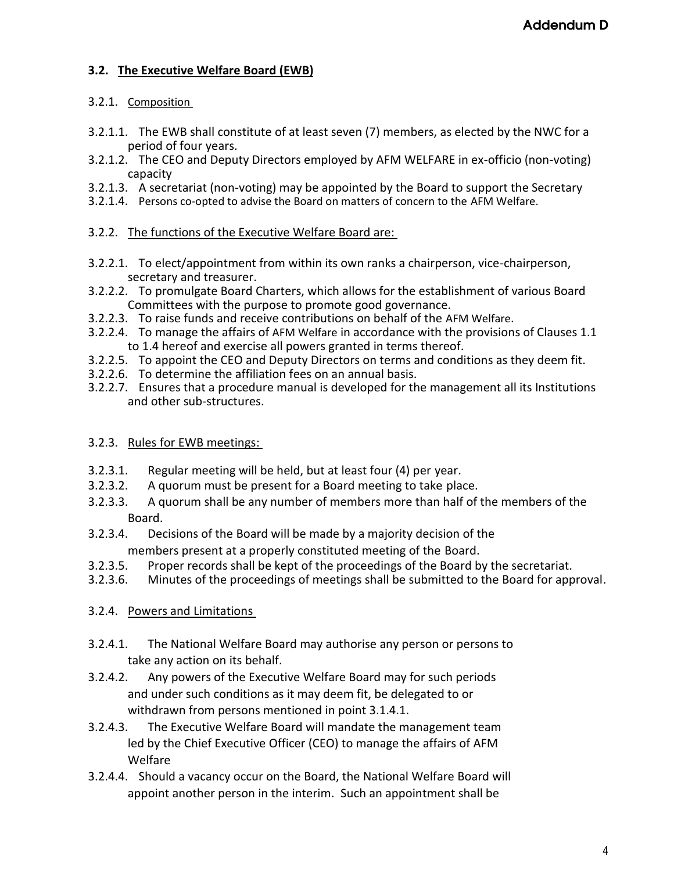# **3.2. The Executive Welfare Board (EWB)**

# 3.2.1. Composition

- 3.2.1.1. The EWB shall constitute of at least seven (7) members, as elected by the NWC for a period of four years.
- 3.2.1.2. The CEO and Deputy Directors employed by AFM WELFARE in ex-officio (non-voting) capacity
- 3.2.1.3. A secretariat (non-voting) may be appointed by the Board to support the Secretary
- 3.2.1.4. Persons co-opted to advise the Board on matters of concern to the AFM Welfare.
- 3.2.2. The functions of the Executive Welfare Board are:
- 3.2.2.1. To elect/appointment from within its own ranks a chairperson, vice-chairperson, secretary and treasurer.
- 3.2.2.2. To promulgate Board Charters, which allows for the establishment of various Board Committees with the purpose to promote good governance.
- 3.2.2.3. To raise funds and receive contributions on behalf of the AFM Welfare.
- 3.2.2.4. To manage the affairs of AFM Welfare in accordance with the provisions of Clauses 1.1 to 1.4 hereof and exercise all powers granted in terms thereof.
- 3.2.2.5. To appoint the CEO and Deputy Directors on terms and conditions as they deem fit.
- 3.2.2.6. To determine the affiliation fees on an annual basis.
- 3.2.2.7. Ensures that a procedure manual is developed for the management all its Institutions and other sub-structures.

# 3.2.3. Rules for EWB meetings:

- 3.2.3.1. Regular meeting will be held, but at least four (4) per year.
- 3.2.3.2. A quorum must be present for a Board meeting to take place.
- 3.2.3.3. A quorum shall be any number of members more than half of the members of the Board.
- 3.2.3.4. Decisions of the Board will be made by a majority decision of the members present at a properly constituted meeting of the Board.
- 3.2.3.5. Proper records shall be kept of the proceedings of the Board by the secretariat.
- 3.2.3.6. Minutes of the proceedings of meetings shall be submitted to the Board for approval.

# 3.2.4. Powers and Limitations

- 3.2.4.1. The National Welfare Board may authorise any person or persons to take any action on its behalf.
- 3.2.4.2. Any powers of the Executive Welfare Board may for such periods and under such conditions as it may deem fit, be delegated to or withdrawn from persons mentioned in point 3.1.4.1.
- 3.2.4.3. The Executive Welfare Board will mandate the management team led by the Chief Executive Officer (CEO) to manage the affairs of AFM Welfare
- 3.2.4.4. Should a vacancy occur on the Board, the National Welfare Board will appoint another person in the interim. Such an appointment shall be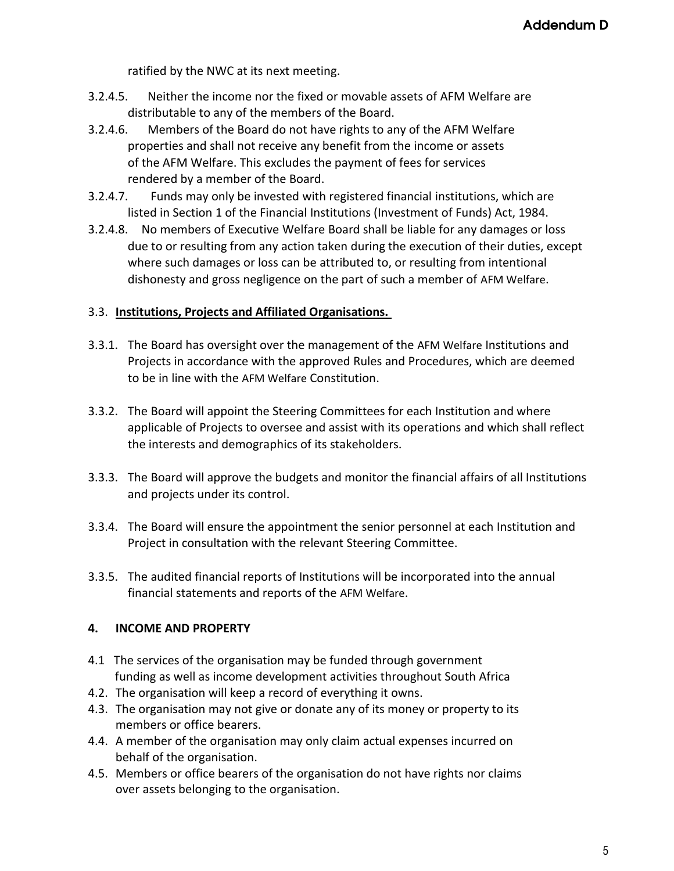ratified by the NWC at its next meeting.

- 3.2.4.5. Neither the income nor the fixed or movable assets of AFM Welfare are distributable to any of the members of the Board.
- 3.2.4.6. Members of the Board do not have rights to any of the AFM Welfare properties and shall not receive any benefit from the income or assets of the AFM Welfare. This excludes the payment of fees for services rendered by a member of the Board.
- 3.2.4.7. Funds may only be invested with registered financial institutions, which are listed in Section 1 of the Financial Institutions (Investment of Funds) Act, 1984.
- 3.2.4.8. No members of Executive Welfare Board shall be liable for any damages or loss due to or resulting from any action taken during the execution of their duties, except where such damages or loss can be attributed to, or resulting from intentional dishonesty and gross negligence on the part of such a member of AFM Welfare.

# 3.3. **Institutions, Projects and Affiliated Organisations.**

- 3.3.1. The Board has oversight over the management of the AFM Welfare Institutions and Projects in accordance with the approved Rules and Procedures, which are deemed to be in line with the AFM Welfare Constitution.
- 3.3.2. The Board will appoint the Steering Committees for each Institution and where applicable of Projects to oversee and assist with its operations and which shall reflect the interests and demographics of its stakeholders.
- 3.3.3. The Board will approve the budgets and monitor the financial affairs of all Institutions and projects under its control.
- 3.3.4. The Board will ensure the appointment the senior personnel at each Institution and Project in consultation with the relevant Steering Committee.
- 3.3.5. The audited financial reports of Institutions will be incorporated into the annual financial statements and reports of the AFM Welfare.

# **4. INCOME AND PROPERTY**

- 4.1 The services of the organisation may be funded through government funding as well as income development activities throughout South Africa
- 4.2. The organisation will keep a record of everything it owns.
- 4.3. The organisation may not give or donate any of its money or property to its members or office bearers.
- 4.4. A member of the organisation may only claim actual expenses incurred on behalf of the organisation.
- 4.5. Members or office bearers of the organisation do not have rights nor claims over assets belonging to the organisation.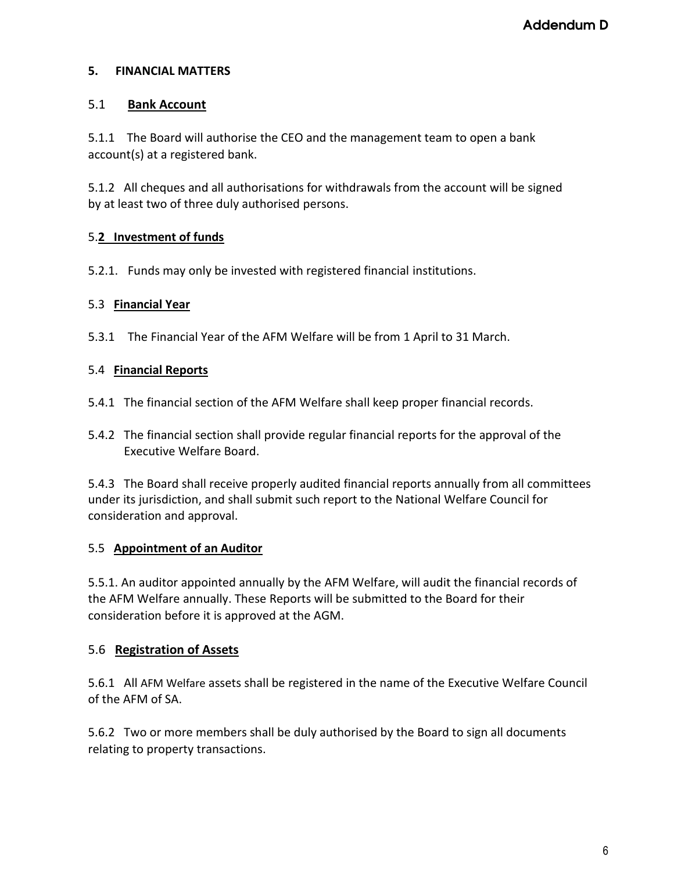## **5. FINANCIAL MATTERS**

## 5.1 **Bank Account**

5.1.1 The Board will authorise the CEO and the management team to open a bank account(s) at a registered bank.

5.1.2 All cheques and all authorisations for withdrawals from the account will be signed by at least two of three duly authorised persons.

# 5.**2 Investment of funds**

5.2.1. Funds may only be invested with registered financial institutions.

## 5.3 **Financial Year**

5.3.1 The Financial Year of the AFM Welfare will be from 1 April to 31 March.

## 5.4 **Financial Reports**

- 5.4.1 The financial section of the AFM Welfare shall keep proper financial records.
- 5.4.2 The financial section shall provide regular financial reports for the approval of the Executive Welfare Board.

5.4.3 The Board shall receive properly audited financial reports annually from all committees under its jurisdiction, and shall submit such report to the National Welfare Council for consideration and approval.

# 5.5 **Appointment of an Auditor**

5.5.1. An auditor appointed annually by the AFM Welfare, will audit the financial records of the AFM Welfare annually. These Reports will be submitted to the Board for their consideration before it is approved at the AGM.

# 5.6 **Registration of Assets**

5.6.1 All AFM Welfare assets shall be registered in the name of the Executive Welfare Council of the AFM of SA.

5.6.2 Two or more members shall be duly authorised by the Board to sign all documents relating to property transactions.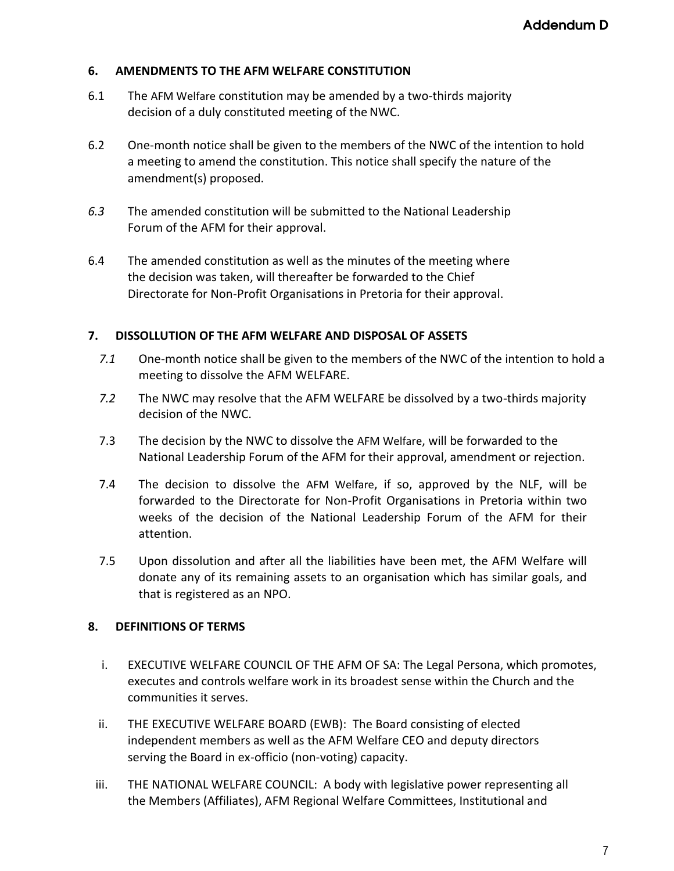## **6. AMENDMENTS TO THE AFM WELFARE CONSTITUTION**

- 6.1 The AFM Welfare constitution may be amended by a two-thirds majority decision of a duly constituted meeting of theNWC.
- 6.2 One-month notice shall be given to the members of the NWC of the intention to hold a meeting to amend the constitution. This notice shall specify the nature of the amendment(s) proposed.
- *6.3* The amended constitution will be submitted to the National Leadership Forum of the AFM for their approval.
- 6.4 The amended constitution as well as the minutes of the meeting where the decision was taken, will thereafter be forwarded to the Chief Directorate for Non-Profit Organisations in Pretoria for their approval.

## **7. DISSOLLUTION OF THE AFM WELFARE AND DISPOSAL OF ASSETS**

- *7.1* One-month notice shall be given to the members of the NWC of the intention to hold a meeting to dissolve the AFM WELFARE.
- *7.2* The NWC may resolve that the AFM WELFARE be dissolved by a two-thirds majority decision of the NWC.
- 7.3 The decision by the NWC to dissolve the AFM Welfare, will be forwarded to the National Leadership Forum of the AFM for their approval, amendment or rejection.
- 7.4 The decision to dissolve the AFM Welfare, if so, approved by the NLF, will be forwarded to the Directorate for Non-Profit Organisations in Pretoria within two weeks of the decision of the National Leadership Forum of the AFM for their attention.
- 7.5 Upon dissolution and after all the liabilities have been met, the AFM Welfare will donate any of its remaining assets to an organisation which has similar goals, and that is registered as an NPO.

## **8. DEFINITIONS OF TERMS**

- i. EXECUTIVE WELFARE COUNCIL OF THE AFM OF SA: The Legal Persona, which promotes, executes and controls welfare work in its broadest sense within the Church and the communities it serves.
- ii. THE EXECUTIVE WELFARE BOARD (EWB): The Board consisting of elected independent members as well as the AFM Welfare CEO and deputy directors serving the Board in ex-officio (non-voting) capacity.
- iii. THE NATIONAL WELFARE COUNCIL: A body with legislative power representing all the Members (Affiliates), AFM Regional Welfare Committees, Institutional and